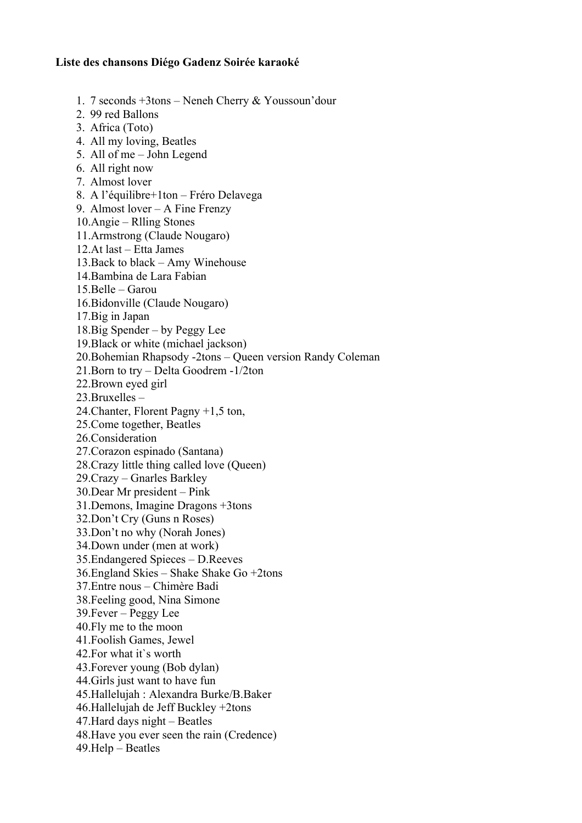## **Liste des chansons Diégo Gadenz Soirée karaoké**

- 1. 7 seconds +3tons Neneh Cherry & Youssoun'dour
- 2. 99 red Ballons
- 3. Africa (Toto)
- 4. All my loving, Beatles
- 5. All of me John Legend
- 6. All right now
- 7. Almost lover
- 8. A l'équilibre+1ton Fréro Delavega
- 9. Almost lover A Fine Frenzy
- 10.Angie Rlling Stones
- 11.Armstrong (Claude Nougaro)
- 12.At last Etta James
- 13.Back to black Amy Winehouse
- 14.Bambina de Lara Fabian
- 15.Belle Garou
- 16.Bidonville (Claude Nougaro)
- 17.Big in Japan
- 18.Big Spender by Peggy Lee
- 19.Black or white (michael jackson)
- 20.Bohemian Rhapsody -2tons Queen version Randy Coleman
- 21.Born to try Delta Goodrem -1/2ton
- 22.Brown eyed girl
- 23.Bruxelles –
- 24.Chanter, Florent Pagny +1,5 ton,
- 25.Come together, Beatles
- 26.Consideration
- 27.Corazon espinado (Santana)
- 28.Crazy little thing called love (Queen)
- 29.Crazy Gnarles Barkley
- 30.Dear Mr president Pink
- 31.Demons, Imagine Dragons +3tons
- 32.Don't Cry (Guns n Roses)
- 33.Don't no why (Norah Jones)
- 34.Down under (men at work)
- 35.Endangered Spieces D.Reeves
- 36.England Skies Shake Shake Go +2tons
- 37.Entre nous Chimère Badi
- 38.Feeling good, Nina Simone
- 39.Fever Peggy Lee
- 40.Fly me to the moon
- 41.Foolish Games, Jewel
- 42.For what it`s worth
- 43.Forever young (Bob dylan)
- 44.Girls just want to have fun
- 45.Hallelujah : Alexandra Burke/B.Baker
- 46.Hallelujah de Jeff Buckley +2tons
- 47.Hard days night Beatles
- 48.Have you ever seen the rain (Credence)
- 49.Help Beatles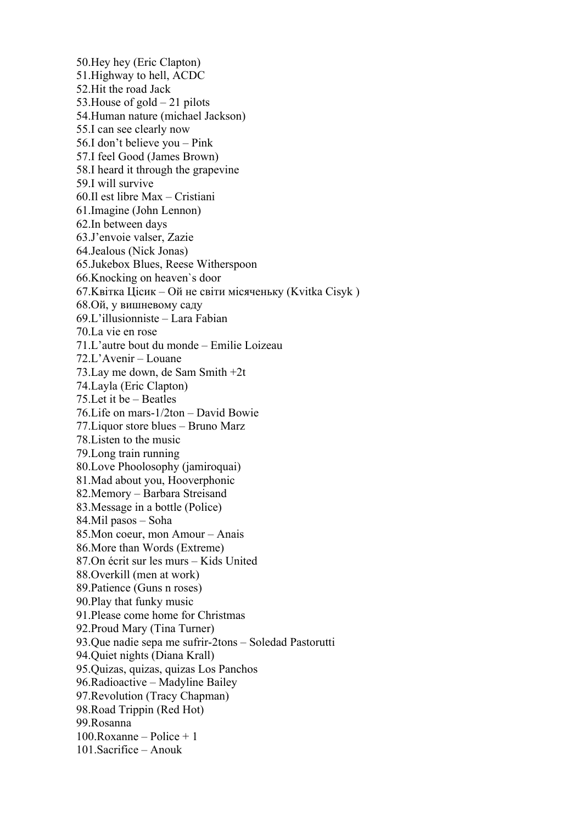50.Hey hey (Eric Clapton) 51.Highway to hell, ACDC 52.Hit the road Jack 53.House of gold – 21 pilots 54.Human nature (michael Jackson) 55.I can see clearly now 56.I don't believe you – Pink 57.I feel Good (James Brown) 58.I heard it through the grapevine 59.I will survive 60.Il est libre Max – Cristiani 61.Imagine (John Lennon) 62.In between days 63.J'envoie valser, Zazie 64.Jealous (Nick Jonas) 65.Jukebox Blues, Reese Witherspoon 66.Knocking on heaven`s door 67.Kвітка Цісик – Ой не світи місяченьку (Kvitka Сisyk ) 68.Ой, у вишневому саду 69.L'illusionniste – Lara Fabian 70.La vie en rose 71.L'autre bout du monde – Emilie Loizeau 72.L'Avenir – Louane 73.Lay me down, de Sam Smith +2t 74.Layla (Eric Clapton) 75.Let it be – Beatles 76.Life on mars-1/2ton – David Bowie 77.Liquor store blues – Bruno Marz 78.Listen to the music 79.Long train running 80.Love Phoolosophy (jamiroquai) 81.Mad about you, Hooverphonic 82.Memory – Barbara Streisand 83.Message in a bottle (Police) 84.Mil pasos – Soha 85.Mon coeur, mon Amour – Anais 86.More than Words (Extreme) 87.On écrit sur les murs – Kids United 88.Overkill (men at work) 89.Patience (Guns n roses) 90.Play that funky music 91.Please come home for Christmas 92.Proud Mary (Tina Turner) 93.Que nadie sepa me sufrir-2tons – Soledad Pastorutti 94.Quiet nights (Diana Krall) 95.Quizas, quizas, quizas Los Panchos 96.Radioactive – Madyline Bailey 97.Revolution (Tracy Chapman) 98.Road Trippin (Red Hot) 99.Rosanna 100.Roxanne – Police + 1 101.Sacrifice – Anouk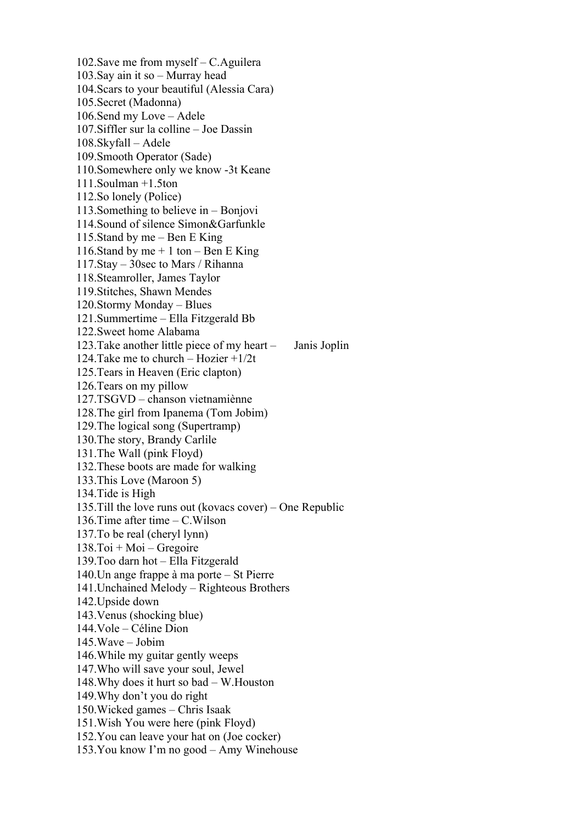102.Save me from myself – C.Aguilera 103.Say ain it so – Murray head 104.Scars to your beautiful (Alessia Cara) 105.Secret (Madonna) 106.Send my Love – Adele 107.Siffler sur la colline – Joe Dassin 108.Skyfall – Adele 109.Smooth Operator (Sade) 110.Somewhere only we know -3t Keane 111.Soulman +1.5ton 112.So lonely (Police) 113.Something to believe in – Bonjovi 114.Sound of silence Simon&Garfunkle 115.Stand by me – Ben E King 116.Stand by me  $+ 1$  ton – Ben E King 117.Stay – 30sec to Mars / Rihanna 118.Steamroller, James Taylor 119.Stitches, Shawn Mendes 120.Stormy Monday – Blues 121.Summertime – Ella Fitzgerald Bb 122.Sweet home Alabama 123.Take another little piece of my heart – Janis Joplin 124.Take me to church – Hozier +1/2t 125.Tears in Heaven (Eric clapton) 126.Tears on my pillow 127.TSGVD – chanson vietnamiènne 128.The girl from Ipanema (Tom Jobim) 129.The logical song (Supertramp) 130.The story, Brandy Carlile 131.The Wall (pink Floyd) 132.These boots are made for walking 133.This Love (Maroon 5) 134.Tide is High 135.Till the love runs out (kovacs cover) – One Republic 136.Time after time – C.Wilson 137.To be real (cheryl lynn)  $138.$ Toi + Moi – Gregoire 139.Too darn hot – Ella Fitzgerald 140.Un ange frappe à ma porte – St Pierre 141.Unchained Melody – Righteous Brothers 142.Upside down 143.Venus (shocking blue) 144.Vole – Céline Dion 145.Wave – Jobim 146.While my guitar gently weeps 147.Who will save your soul, Jewel 148.Why does it hurt so bad – W.Houston 149.Why don't you do right 150.Wicked games – Chris Isaak 151.Wish You were here (pink Floyd) 152.You can leave your hat on (Joe cocker) 153.You know I'm no good – Amy Winehouse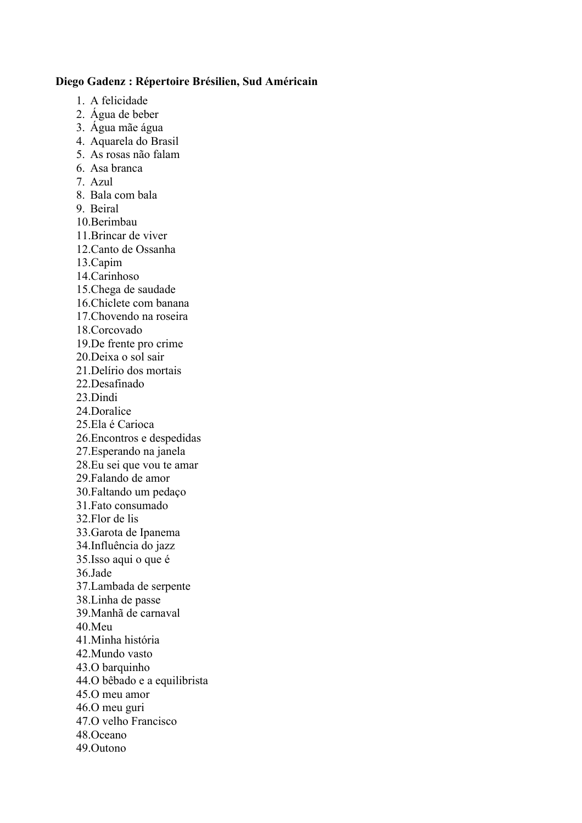## **Diego Gadenz : Répertoire Brésilien, Sud Américain**

- 1. A felicidade
- 2. Água de beber
- 3. Água mãe água
- 4. Aquarela do Brasil
- 5. As rosas não falam
- 6. Asa branca
- 7. Azul
- 8. Bala com bala
- 9. Beiral
- 10.Berimbau
- 11.Brincar de viver
- 12.Canto de Ossanha
- 13.Capim
- 14.Carinhoso
- 15.Chega de saudade
- 16.Chiclete com banana
- 17.Chovendo na roseira
- 18.Corcovado
- 19.De frente pro crime
- 20.Deixa o sol sair
- 21.Delírio dos mortais
- 22.Desafinado
- 23.Dindi
- 24.Doralice
- 25.Ela é Carioca
- 26.Encontros e despedidas
- 27.Esperando na janela
- 28.Eu sei que vou te amar
- 29.Falando de amor
- 30.Faltando um pedaço
- 31.Fato consumado
- 32.Flor de lis
- 33.Garota de Ipanema
- 34.Influência do jazz
- 35.Isso aqui o que é
- 36.Jade
- 37.Lambada de serpente
- 38.Linha de passe
- 39.Manhã de carnaval
- 40.Meu
- 41.Minha história
- 42.Mundo vasto
- 43.O barquinho
- 44.O bêbado e a equilibrista
- 45.O meu amor
- 46.O meu guri
- 47.O velho Francisco
- 48.Oceano
- 49.Outono